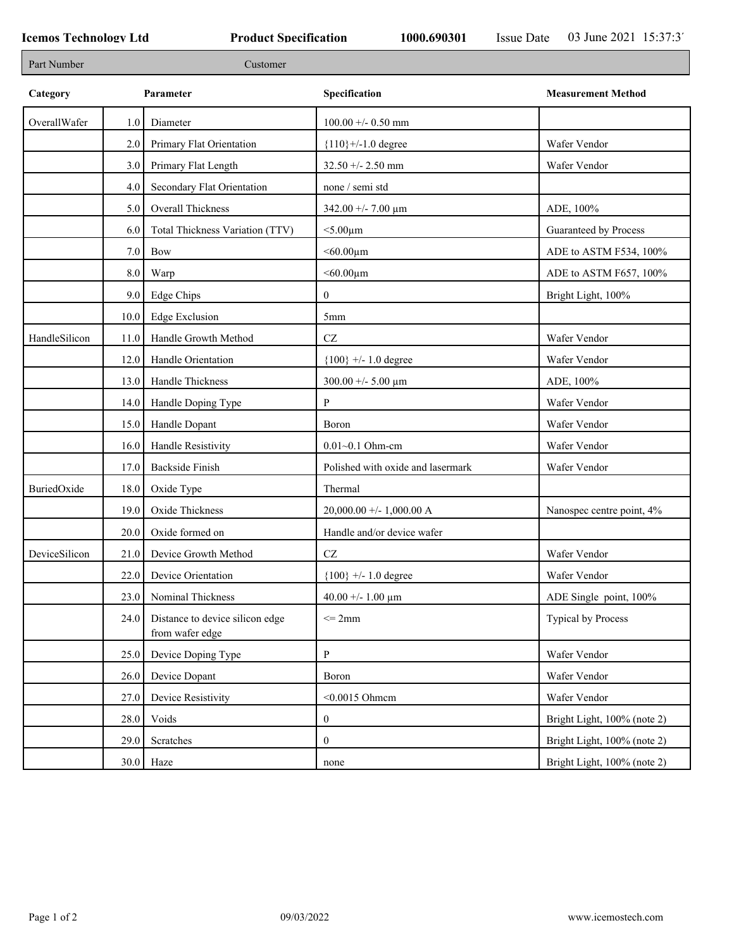| Part Number   |      | Customer                                           |                                   |                             |
|---------------|------|----------------------------------------------------|-----------------------------------|-----------------------------|
| Category      |      | Parameter                                          | Specification                     | <b>Measurement Method</b>   |
| OverallWafer  | 1.0  | Diameter                                           | $100.00 + - 0.50$ mm              |                             |
|               | 2.0  | Primary Flat Orientation                           | ${110}$ +/-1.0 degree             | Wafer Vendor                |
|               | 3.0  | Primary Flat Length                                | $32.50 + - 2.50$ mm               | Wafer Vendor                |
|               | 4.0  | Secondary Flat Orientation                         | none / semi std                   |                             |
|               | 5.0  | Overall Thickness                                  | 342.00 +/- 7.00 $\mu$ m           | ADE, 100%                   |
|               | 6.0  | Total Thickness Variation (TTV)                    | $<$ 5.00 $\mu$ m                  | Guaranteed by Process       |
|               | 7.0  | Bow                                                | $<$ 60.00 $\mu$ m                 | ADE to ASTM F534, 100%      |
|               | 8.0  | Warp                                               | $<$ 60.00 $\mu$ m                 | ADE to ASTM F657, 100%      |
|               | 9.0  | Edge Chips                                         | $\overline{0}$                    | Bright Light, 100%          |
|               | 10.0 | <b>Edge Exclusion</b>                              | 5 <sub>mm</sub>                   |                             |
| HandleSilicon | 11.0 | Handle Growth Method                               | $\operatorname{CZ}$               | Wafer Vendor                |
|               | 12.0 | Handle Orientation                                 | ${100}$ +/- 1.0 degree            | Wafer Vendor                |
|               | 13.0 | Handle Thickness                                   | $300.00 + - 5.00 \mu m$           | ADE, 100%                   |
|               | 14.0 | Handle Doping Type                                 | P                                 | Wafer Vendor                |
|               | 15.0 | Handle Dopant                                      | Boron                             | Wafer Vendor                |
|               | 16.0 | Handle Resistivity                                 | $0.01 - 0.1$ Ohm-cm               | Wafer Vendor                |
|               | 17.0 | <b>Backside Finish</b>                             | Polished with oxide and lasermark | Wafer Vendor                |
| BuriedOxide   | 18.0 | Oxide Type                                         | Thermal                           |                             |
|               | 19.0 | Oxide Thickness                                    | $20,000.00 +/- 1,000.00 A$        | Nanospec centre point, 4%   |
|               | 20.0 | Oxide formed on                                    | Handle and/or device wafer        |                             |
| DeviceSilicon | 21.0 | Device Growth Method                               | CZ                                | Wafer Vendor                |
|               | 22.0 | Device Orientation                                 | ${100}$ +/- 1.0 degree            | Wafer Vendor                |
|               | 23.0 | Nominal Thickness                                  | $40.00 + - 1.00 \mu m$            | ADE Single point, 100%      |
|               | 24.0 | Distance to device silicon edge<br>from wafer edge | $\leq$ 2mm                        | Typical by Process          |
|               | 25.0 | Device Doping Type                                 | P                                 | Wafer Vendor                |
|               | 26.0 | Device Dopant                                      | Boron                             | Wafer Vendor                |
|               | 27.0 | Device Resistivity                                 | $<$ 0.0015 Ohmem                  | Wafer Vendor                |
|               | 28.0 | Voids                                              | $\boldsymbol{0}$                  | Bright Light, 100% (note 2) |
|               | 29.0 | Scratches                                          | $\boldsymbol{0}$                  | Bright Light, 100% (note 2) |
|               |      | $30.0$ Haze                                        | none                              | Bright Light, 100% (note 2) |